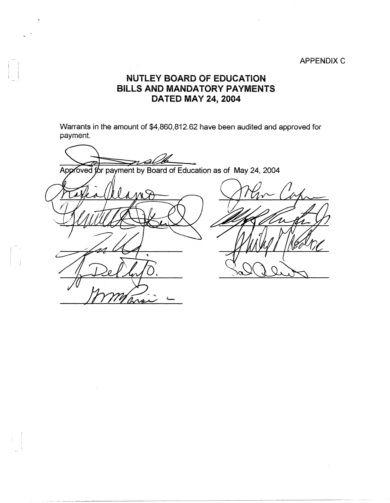## APPENDIX C

## **NUTLEY BOARD OF EDUCATION BiLLS AND MANDATORY PAYMENTS DATED MAY 24, 2004**

Warrants in the amount of \$4,860,812.62 have been audited and approved for payment.

 $\overline{\mathcal{A}}$ Approved for payment by Board of Education as of May 24, 2004 ra

 $\sim$ 

I I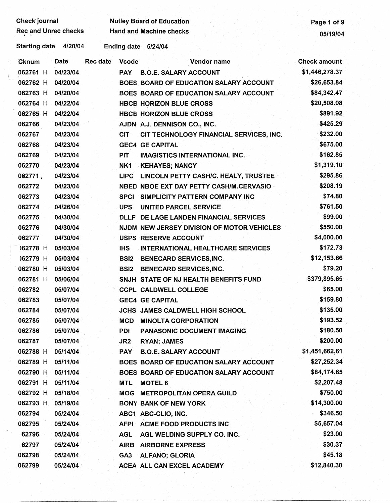## Check journal Nutley Board of Education Page 1 of 9<br>Rec and Unrec checks Hand and Machine checks 05/19/04 Rec and Machine checks and Unrec checks 05/19/04

Starting date 4/20/04 Ending date 5/24/04

| Cknum    | Date     | <b>Rec date</b> | <b>Vcode</b>    | Vendor name                                | <b>Check amount</b> |
|----------|----------|-----------------|-----------------|--------------------------------------------|---------------------|
| 062761 H | 04/23/04 |                 | <b>PAY</b>      | <b>B.O.E. SALARY ACCOUNT</b>               | \$1,446,278.37      |
| 062762 H | 04/20/04 |                 |                 | BOES BOARD OF EDUCATION SALARY ACCOUNT     | \$26,653.84         |
| 062763 H | 04/20/04 |                 |                 | BOES BOARD OF EDUCATION SALARY ACCOUNT     | \$84,342.47         |
| 062764 H | 04/22/04 |                 |                 | <b>HBCE HORIZON BLUE CROSS</b>             | \$20,508.08         |
| 062765 H | 04/22/04 |                 |                 | <b>HBCE HORIZON BLUE CROSS</b>             | \$891.92            |
| 062766   | 04/23/04 |                 |                 | AJDN A.J. DENNISON CO., INC.               | \$425.29            |
| 062767   | 04/23/04 |                 | <b>CIT</b>      | CIT TECHNOLOGY FINANCIAL SERVICES, INC.    | \$232.00            |
| 062768   | 04/23/04 |                 |                 | <b>GEC4 GE CAPITAL</b>                     | \$675.00            |
| 062769   | 04/23/04 |                 | <b>PIT</b>      | <b>IMAGISTICS INTERNATIONAL INC.</b>       | \$162.85            |
| 062770   | 04/23/04 |                 | NK1             | <b>KEHAYES; NANCY</b>                      | \$1,319.10          |
| 062771   | 04/23/04 |                 |                 | LIPC LINCOLN PETTY CASH/C. HEALY, TRUSTEE  | \$295.86            |
| 062772   | 04/23/04 |                 |                 | NBED NBOE EXT DAY PETTY CASH/M.CERVASIO    | \$208.19            |
| 062773   | 04/23/04 |                 | <b>SPCI</b>     | SIMPLICITY PATTERN COMPANY INC             | \$74.80             |
| 062774   | 04/26/04 |                 | <b>UPS</b>      | <b>UNITED PARCEL SERVICE</b>               | \$761.50            |
| 062775   | 04/30/04 |                 |                 | DLLF DE LAGE LANDEN FINANCIAL SERVICES     | \$99.00             |
| 062776   | 04/30/04 |                 |                 | NJDM NEW JERSEY DIVISION OF MOTOR VEHICLES | \$550.00            |
| 062777   | 04/30/04 |                 |                 | <b>USPS RESERVE ACCOUNT</b>                | \$4,000.00          |
| 162778 H | 05/03/04 |                 | <b>IHS</b>      | <b>INTERNATIONAL HEALTHCARE SERVICES</b>   | \$172.73            |
| )62779 H | 05/03/04 |                 | <b>BSI2</b>     | <b>BENECARD SERVICES, INC.</b>             | \$12,153.66         |
| 062780 H | 05/03/04 |                 | <b>BSI2</b>     | <b>BENECARD SERVICES, INC.</b>             | \$79.20             |
| 062781 H | 05/06/04 |                 |                 | SNJH STATE OF NJ HEALTH BENEFITS FUND      | \$379,895.65        |
| 062782   | 05/07/04 |                 |                 | <b>CCPL CALDWELL COLLEGE</b>               | \$65.00             |
| 062783   | 05/07/04 |                 |                 | <b>GEC4 GE CAPITAL</b>                     | \$159.80            |
| 062784   | 05/07/04 |                 |                 | JCHS JAMES CALDWELL HIGH SCHOOL            | \$135.00            |
| 062785   | 05/07/04 |                 | <b>MCD</b>      | <b>MINOLTA CORPORATION</b>                 | \$193.52            |
| 062786   | 05/07/04 |                 | <b>PDI</b>      | <b>PANASONIC DOCUMENT IMAGING</b>          | \$180.50            |
| 062787   | 05/07/04 |                 | JR <sub>2</sub> | <b>RYAN; JAMES</b>                         | \$200.00            |
| 062788 H | 05/14/04 |                 | <b>PAY</b>      | <b>B.O.E. SALARY ACCOUNT</b>               | \$1,451,662,61      |
| 062789 H | 05/11/04 |                 |                 | BOES BOARD OF EDUCATION SALARY ACCOUNT     | \$27,252.34         |
| 062790 H | 05/11/04 |                 |                 | BOES BOARD OF EDUCATION SALARY ACCOUNT     | \$84,174.65         |
| 062791 H | 05/11/04 |                 | <b>MTL</b>      | <b>MOTEL 6</b>                             | \$2,207.48          |
| 062792 H | 05/18/04 |                 | MOG             | <b>METROPOLITAN OPERA GUILD</b>            | \$750.00            |
| 062793 H | 05/19/04 |                 |                 | <b>BONY BANK OF NEW YORK</b>               | \$14,300.00         |
| 062794   | 05/24/04 |                 |                 | ABC1 ABC-CLIO, INC.                        | \$346.50            |
| 062795   | 05/24/04 |                 | AFPI            | <b>ACME FOOD PRODUCTS INC</b>              | \$5,657.04          |
| 62796    | 05/24/04 |                 | <b>AGL</b>      | AGL WELDING SUPPLY CO. INC.                | \$23.00             |
| 62797    | 05/24/04 |                 | <b>AIRB</b>     | <b>AIRBORNE EXPRESS</b>                    | \$30.37             |
| 062798   | 05/24/04 |                 | GA <sub>3</sub> | <b>ALFANO; GLORIA</b>                      | \$45.18             |
| 062799   | 05/24/04 |                 |                 | ACEA ALL CAN EXCEL ACADEMY                 | \$12,840.30         |
|          |          |                 |                 |                                            |                     |

---- --~~-------- ------~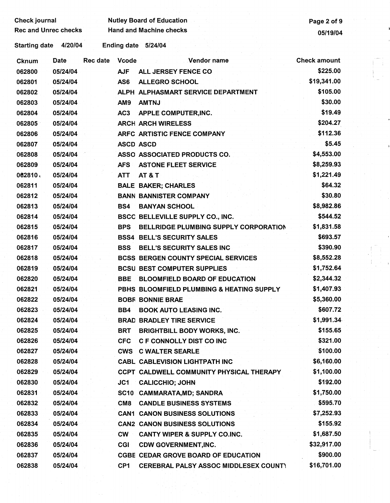| <b>Check journal</b>        |          |                 | <b>Nutley Board of Education</b> | Page 2 of 9                                  |                     |
|-----------------------------|----------|-----------------|----------------------------------|----------------------------------------------|---------------------|
| <b>Rec and Unrec checks</b> |          |                 | <b>Hand and Machine checks</b>   | 05/19/04                                     |                     |
| <b>Starting date</b>        | 4/20/04  |                 |                                  | Ending date 5/24/04                          |                     |
| Cknum                       | Date     | <b>Rec date</b> | <b>Vcode</b>                     | Vendor name                                  | <b>Check amount</b> |
| 062800                      | 05/24/04 |                 | <b>AJF</b>                       | ALL JERSEY FENCE CO                          | \$225.00            |
| 062801                      | 05/24/04 |                 | AS6                              | <b>ALLEGRO SCHOOL</b>                        | \$19,341.00         |
| 062802                      | 05/24/04 |                 |                                  | ALPH ALPHASMART SERVICE DEPARTMENT           | \$105.00            |
| 062803                      | 05/24/04 |                 | AM9                              | <b>AMTNJ</b>                                 | \$30.00             |
| 062804                      | 05/24/04 |                 | AC <sub>3</sub>                  | APPLE COMPUTER, INC.                         | \$19.49             |
| 062805                      | 05/24/04 |                 |                                  | <b>ARCH ARCH WIRELESS</b>                    | \$204.27            |
| 062806                      | 05/24/04 |                 |                                  | ARFC ARTISTIC FENCE COMPANY                  | \$112.36            |
| 062807                      | 05/24/04 |                 | <b>ASCD ASCD</b>                 |                                              | \$5.45              |
| 062808                      | 05/24/04 |                 |                                  | ASSO ASSOCIATED PRODUCTS CO.                 | \$4,553.00          |
| 062809                      | 05/24/04 |                 | <b>AFS</b>                       | <b>ASTONE FLEET SERVICE</b>                  | \$8,259.93          |
| 062810                      | 05/24/04 |                 | <b>ATT</b>                       | <b>AT &amp; T</b>                            | \$1,221.49          |
| 062811                      | 05/24/04 |                 |                                  | <b>BALE BAKER; CHARLES</b>                   | \$64.32             |
| 062812                      | 05/24/04 |                 |                                  | <b>BANN BANNISTER COMPANY</b>                | \$30.80             |
| 062813                      | 05/24/04 |                 | BS4                              | <b>BANYAN SCHOOL</b>                         | \$8,982.86          |
| 062814                      | 05/24/04 |                 |                                  | <b>BSCC BELLEVILLE SUPPLY CO., INC.</b>      | \$544.52            |
| 062815                      | 05/24/04 |                 | <b>BPS</b>                       | BELLRIDGE PLUMBING SUPPLY CORPORATION        | \$1,831.58          |
| 062816                      | 05/24/04 |                 |                                  | <b>BSS4 BELL'S SECURITY SALES</b>            | \$693.57            |
| 062817                      | 05/24/04 |                 | <b>BSS</b>                       | BELL'S SECURITY SALES INC                    | \$390.90            |
| 062818                      | 05/24/04 |                 |                                  | <b>BCSS BERGEN COUNTY SPECIAL SERVICES</b>   | \$8,552.28          |
| 062819                      | 05/24/04 |                 |                                  | <b>BCSU BEST COMPUTER SUPPLIES</b>           | \$1,752.64          |
| 062820                      | 05/24/04 |                 | <b>BBE</b>                       | <b>BLOOMFIELD BOARD OF EDUCATION</b>         | \$2,344.32          |
| 062821                      | 05/24/04 |                 |                                  | PBHS BLOOMFIELD PLUMBING & HEATING SUPPLY    | \$1,407.93          |
| 062822                      | 05/24/04 |                 |                                  | <b>BOBF BONNIE BRAE</b>                      | \$5,360.00          |
| 062823                      | 05/24/04 |                 | BB4                              | <b>BOOK AUTO LEASING INC.</b>                | \$607.72            |
| 062824                      | 05/24/04 |                 |                                  | <b>BRAD BRADLEY TIRE SERVICE</b>             | \$1,991.34          |
| 062825                      | 05/24/04 |                 | <b>BRT</b>                       | <b>BRIGHTBILL BODY WORKS, INC.</b>           | \$155.65            |
| 062826                      | 05/24/04 |                 | <b>CFC</b>                       | <b>C F CONNOLLY DIST CO INC</b>              | \$321.00            |
| 062827                      | 05/24/04 |                 | <b>CWS</b>                       | <b>C WALTER SEARLE</b>                       | \$100.00            |
| 062828                      | 05/24/04 |                 |                                  | <b>CABL CABLEVISION LIGHTPATH INC</b>        | \$6,160.00          |
| 062829                      | 05/24/04 |                 |                                  | CCPT CALDWELL COMMUNITY PHYSICAL THERAPY     | \$1,100.00          |
| 062830                      | 05/24/04 |                 | JC1                              | <b>CALICCHIO; JOHN</b>                       | \$192.00            |
| 062831                      | 05/24/04 |                 |                                  | SC10 CAMMARATA, MD; SANDRA                   | \$1,750.00          |
| 062832                      | 05/24/04 |                 | CM <sub>8</sub>                  | <b>CANDLE BUSINESS SYSTEMS</b>               | \$595.70            |
| 062833                      | 05/24/04 |                 |                                  | <b>CAN1 CANON BUSINESS SOLUTIONS</b>         | \$7,252.93          |
| 062834                      | 05/24/04 |                 |                                  | <b>CAN2 CANON BUSINESS SOLUTIONS</b>         | \$155.92            |
| 062835                      | 05/24/04 |                 | <b>CW</b>                        | <b>CANTY WIPER &amp; SUPPLY CO.INC.</b>      | \$1,687.50          |
| 062836                      | 05/24/04 |                 | CGI                              | <b>CDW GOVERNMENT, INC.</b>                  | \$32,917.00         |
| 062837                      | 05/24/04 |                 |                                  | <b>CGBE CEDAR GROVE BOARD OF EDUCATION</b>   | \$900.00            |
| 062838                      | 05/24/04 |                 | CP <sub>1</sub>                  | <b>CEREBRAL PALSY ASSOC MIDDLESEX COUNTY</b> | \$16,701.00         |
|                             |          |                 |                                  |                                              |                     |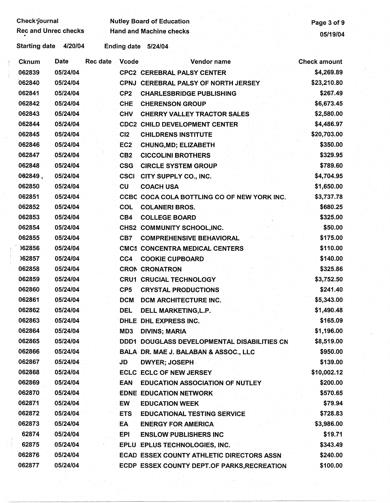Check-journal Nutley Board of Education Page 3 of 9<br>Rec and Unrec checks Hand and Machine checks 05/19/04

Rec and Machine checks . 05/19/04

Starting date 4/20/04 Ending date 5/24/04

| Cknum  | Date     | <b>Rec date</b> | <b>Vcode</b>    | Vendor name                                 | <b>Check amount</b> |
|--------|----------|-----------------|-----------------|---------------------------------------------|---------------------|
| 062839 | 05/24/04 |                 |                 | <b>CPC2 CEREBRAL PALSY CENTER</b>           | \$4,269.89          |
| 062840 | 05/24/04 |                 |                 | CPNJ CEREBRAL PALSY OF NORTH JERSEY         | \$23,210.80         |
| 062841 | 05/24/04 |                 | CP <sub>2</sub> | <b>CHARLESBRIDGE PUBLISHING</b>             | \$267.49            |
| 062842 | 05/24/04 |                 | <b>CHE</b>      | <b>CHERENSON GROUP</b>                      | \$6,673.45          |
| 062843 | 05/24/04 |                 | <b>CHV</b>      | <b>CHERRY VALLEY TRACTOR SALES</b>          | \$2,580.00          |
| 062844 | 05/24/04 |                 |                 | <b>CDC2 CHILD DEVELOPMENT CENTER</b>        | \$4,486.97          |
| 062845 | 05/24/04 |                 | CI2             | <b>CHILDRENS INSTITUTE</b>                  | \$20,703.00         |
| 062846 | 05/24/04 |                 | EC <sub>2</sub> | <b>CHUNG, MD; ELIZABETH</b>                 | \$350.00            |
| 062847 | 05/24/04 |                 | CB <sub>2</sub> | <b>CICCOLINI BROTHERS</b>                   | \$329.95            |
| 062848 | 05/24/04 |                 | <b>CSG</b>      | <b>CIRCLE SYSTEM GROUP</b>                  | \$789.60            |
| 062849 | 05/24/04 |                 | <b>CSCI</b>     | CITY SUPPLY CO., INC.                       | \$4,704.95          |
| 062850 | 05/24/04 |                 | <b>CU</b>       | <b>COACH USA</b>                            | \$1,650.00          |
| 062851 | 05/24/04 |                 |                 | CCBC COCA COLA BOTTLING CO OF NEW YORK INC. | \$3,737.78          |
| 062852 | 05/24/04 |                 | <b>COL</b>      | <b>COLANERI BROS.</b>                       | \$680.25            |
| 062853 | 05/24/04 |                 | CB4             | <b>COLLEGE BOARD</b>                        | \$325.00            |
| 062854 | 05/24/04 |                 |                 | CHS2 COMMUNITY SCHOOL, INC.                 | \$50.00             |
| 062855 | 05/24/04 |                 | CB7             | <b>COMPREHENSIVE BEHAVIORAL</b>             | \$175.00            |
| )62856 | 05/24/04 |                 |                 | <b>CMC5 CONCENTRA MEDICAL CENTERS</b>       | \$110.00            |
| )62857 | 05/24/04 |                 | $CC4$ .         | <b>COOKIE CUPBOARD</b>                      | \$140.00            |
| 062858 | 05/24/04 |                 |                 | <b>CRON CRONATRON</b>                       | \$325.86            |
| 062859 | 05/24/04 |                 |                 | <b>CRU1 CRUCIAL TECHNOLOGY</b>              | \$3,752.50          |
| 062860 | 05/24/04 |                 | CP <sub>5</sub> | <b>CRYSTAL PRODUCTIONS</b>                  | \$241.40            |
| 062861 | 05/24/04 |                 | <b>DCM</b>      | <b>DCM ARCHITECTURE INC.</b>                | \$5,343.00          |
| 062862 | 05/24/04 |                 | <b>DEL</b>      | DELL MARKETING, L.P.                        | \$1,490.48          |
| 062863 | 05/24/04 |                 |                 | DHLE DHL EXPRESS INC.                       | \$165.09            |
| 062864 | 05/24/04 |                 | MD3             | <b>DIVINS; MARIA</b>                        | \$1,196.00          |
| 062865 | 05/24/04 |                 |                 | DDD1 DOUGLASS DEVELOPMENTAL DISABILITIES CN | \$8,519.00          |
| 062866 | 05/24/04 |                 |                 | BALA DR. MAE J. BALABAN & ASSOC., LLC       | \$950.00            |
| 062867 | 05/24/04 |                 | <b>JD</b>       | DWYER; JOSEPH                               | \$139.00            |
| 062868 | 05/24/04 |                 |                 | <b>ECLC ECLC OF NEW JERSEY</b>              | \$10,002.12         |
| 062869 | 05/24/04 |                 | <b>EAN</b>      | <b>EDUCATION ASSOCIATION OF NUTLEY</b>      | \$200.00            |
| 062870 | 05/24/04 |                 |                 | <b>EDNE EDUCATION NETWORK</b>               | \$570.65            |
| 062871 | 05/24/04 |                 | EW              | <b>EDUCATION WEEK</b>                       | \$79.94             |
| 062872 | 05/24/04 |                 | <b>ETS</b>      | <b>EDUCATIONAL TESTING SERVICE</b>          | \$728.83            |
| 062873 | 05/24/04 |                 | EA              | <b>ENERGY FOR AMERICA</b>                   | \$3,986.00          |
| 62874  | 05/24/04 |                 | EPI             | <b>ENSLOW PUBLISHERS INC</b>                | \$19.71             |
| 62875  | 05/24/04 |                 |                 | EPLU EPLUS TECHNOLOGIES, INC.               | \$343.49            |
| 062876 | 05/24/04 |                 |                 | ECAD ESSEX COUNTY ATHLETIC DIRECTORS ASSN   | \$240.00            |
| 062877 | 05/24/04 |                 |                 | ECDP ESSEX COUNTY DEPT OF PARKS, RECREATION | \$100.00            |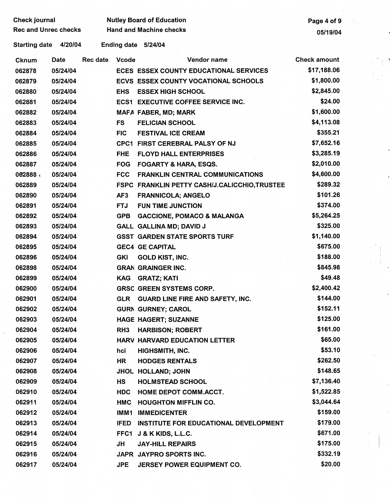| <b>Check journal</b>        | <b>Nutley Board of Education</b> | Page 4 of 9 |
|-----------------------------|----------------------------------|-------------|
| <b>Rec and Unrec checks</b> | <b>Hand and Machine checks</b>   | 05/19/04    |

Ŵ.

Starting date 4/20/04 · Ending date 5/24/04

| Cknum  | Rec date<br><b>Date</b> | <b>Vcode</b>    | Vendor name                                  | <b>Check amount</b> |
|--------|-------------------------|-----------------|----------------------------------------------|---------------------|
| 062878 | 05/24/04                |                 | ECES ESSEX COUNTY EDUCATIONAL SERVICES       | \$17,188.06         |
| 062879 | 05/24/04                |                 | <b>ECVS ESSEX COUNTY VOCATIONAL SCHOOLS</b>  | \$1,800.00          |
| 062880 | 05/24/04                | <b>EHS</b>      | <b>ESSEX HIGH SCHOOL</b>                     | \$2,845.00          |
| 062881 | 05/24/04                |                 | <b>ECS1 EXECUTIVE COFFEE SERVICE INC.</b>    | \$24.00             |
| 062882 | 05/24/04                |                 | <b>MAFA FABER, MD; MARK</b>                  | \$1,600.00          |
| 062883 | 05/24/04                | <b>FS</b>       | <b>FELICIAN SCHOOL</b>                       | \$4,113.08          |
| 062884 | 05/24/04                | <b>FIC</b>      | <b>FESTIVAL ICE CREAM</b>                    | \$355.21            |
| 062885 | 05/24/04                |                 | <b>CPC1 FIRST CEREBRAL PALSY OF NJ</b>       | \$7,652.16          |
| 062886 | 05/24/04                | <b>FHE</b>      | <b>FLOYD HALL ENTERPRISES</b>                | \$3,285.19          |
| 062887 | 05/24/04                | <b>FOG</b>      | <b>FOGARTY &amp; HARA, ESQS.</b>             | \$2,010.00          |
| 062888 | 05/24/04                | <b>FCC</b>      | <b>FRANKLIN CENTRAL COMMUNICATIONS</b>       | \$4,600.00          |
| 062889 | 05/24/04                |                 | FSPC FRANKLIN PETTY CASH/J.CALICCHIO,TRUSTEE | \$289.32            |
| 062890 | 05/24/04                | AF3             | <b>FRANNICOLA; ANGELO</b>                    | \$101.26            |
| 062891 | 05/24/04                | <b>FTJ</b>      | <b>FUN TIME JUNCTION</b>                     | \$374.00            |
| 062892 | 05/24/04                | <b>GPB</b>      | <b>GACCIONE, POMACO &amp; MALANGA</b>        | \$5,264.25          |
| 062893 | 05/24/04                |                 | GALL GALLINA MD; DAVID J                     | \$325.00            |
| 062894 | 05/24/04                |                 | <b>GSST GARDEN STATE SPORTS TURF</b>         | \$1,140.00          |
| 062895 | 05/24/04                |                 | <b>GEC4 GE CAPITAL</b>                       | \$675.00            |
| 062896 | 05/24/04                | <b>GKI</b>      | <b>GOLD KIST, INC.</b>                       | \$188.00            |
| 062898 | 05/24/04                |                 | <b>GRAN GRAINGER INC.</b>                    | \$845.98            |
| 062899 | 05/24/04                | <b>KAG</b>      | <b>GRATZ; KATI</b>                           | \$49.48             |
| 062900 | 05/24/04                |                 | <b>GRSC GREEN SYSTEMS CORP.</b>              | \$2,400.42          |
| 062901 | 05/24/04                | <b>GLR</b>      | GUARD LINE FIRE AND SAFETY, INC.             | \$144.00            |
| 062902 | 05/24/04                |                 | <b>GURN GURNEY; CAROL</b>                    | \$152.11            |
| 062903 | 05/24/04-               |                 | <b>HAGE HAGERT; SUZANNE</b>                  | \$125.00            |
| 062904 | 05/24/04                | RH <sub>3</sub> | <b>HARBISON; ROBERT</b>                      | \$161.00            |
| 062905 | 05/24/04                |                 | <b>HARV HARVARD EDUCATION LETTER</b>         | \$65.00             |
| 062906 | 05/24/04                | hci             | HIGHSMITH, INC.                              | \$53.10             |
| 062907 | 05/24/04                | HR              | <b>HODGES RENTALS</b>                        | \$262.50            |
| 062908 | 05/24/04                |                 | JHOL HOLLAND; JOHN                           | \$148.65            |
| 062909 | 05/24/04                | HS              | <b>HOLMSTEAD SCHOOL</b>                      | \$7,136.40          |
| 062910 | 05/24/04                | <b>HDC</b>      | HOME DEPOT COMM.ACCT.                        | \$1,522.85          |
| 062911 | 05/24/04                | <b>HMC</b>      | <b>HOUGHTON MIFFLIN CO.</b>                  | \$3,044.64          |
| 062912 | 05/24/04                | IMM1            | <b>IMMEDICENTER</b>                          | \$159.00            |
| 062913 | 05/24/04                | <b>IFED</b>     | <b>INSTITUTE FOR EDUCATIONAL DEVELOPMENT</b> | \$179.00            |
| 062914 | 05/24/04                | FFC1            | J & K KIDS, L.L.C.                           | \$671.00            |
| 062915 | 05/24/04                | JH              | <b>JAY-HILL REPAIRS</b>                      | \$175.00            |
| 062916 | 05/24/04                |                 | JAPR JAYPRO SPORTS INC.                      | \$332.19            |
| 062917 | 05/24/04                | <b>JPE</b>      | JERSEY POWER EQUIPMENT CO.                   | \$20.00             |
|        |                         |                 |                                              |                     |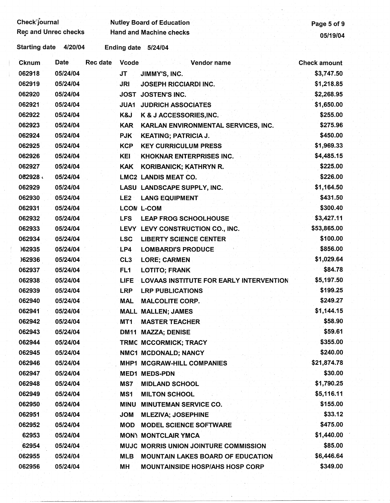| <b>Check journal</b>            |                                 | <b>Nutley Board of Education</b>               | Page 5 of 9         |
|---------------------------------|---------------------------------|------------------------------------------------|---------------------|
| <b>Rec and Unrec checks</b>     |                                 | <b>Hand and Machine checks</b>                 | 05/19/04            |
| <b>Starting date</b><br>4/20/04 | Ending date 5/24/04             |                                                |                     |
| <b>Date</b><br>Cknum            | <b>Rec date</b><br><b>Vcode</b> | <b>Vendor name</b>                             | <b>Check amount</b> |
| 062918<br>05/24/04              | <b>JT</b>                       | JIMMY'S, INC.                                  | \$3,747.50          |
| 062919<br>05/24/04              | JRI                             | <b>JOSEPH RICCIARDI INC.</b>                   | \$1,218.85          |
| 062920<br>05/24/04              |                                 | <b>JOST JOSTEN'S INC.</b>                      | \$2,268.95          |
| 062921<br>05/24/04              | <b>JUA1</b>                     | <b>JUDRICH ASSOCIATES</b>                      | \$1,650.00          |
| 062922<br>05/24/04              | K&J                             | K & J ACCESSORIES, INC.                        | \$255.00            |
| 062923<br>05/24/04              | <b>KAR</b>                      | KARLAN ENVIRONMENTAL SERVICES, INC.            | \$275.96            |
| 062924<br>05/24/04              | <b>PJK</b>                      | <b>KEATING; PATRICIA J.</b>                    | \$450.00            |
| 062925<br>05/24/04              | <b>KCP</b>                      | <b>KEY CURRICULUM PRESS</b>                    | \$1,969.33          |
| 062926<br>05/24/04              | KEI                             | <b>KHOKNAR ENTERPRISES INC.</b>                | \$4,485.15          |
| 062927<br>05/24/04              | <b>KAK</b>                      | KORIBANICK; KATHRYN R.                         | \$225.00            |
| 062928<br>05/24/04              |                                 | <b>LMC2 LANDIS MEAT CO.</b>                    | \$226.00            |
| 062929<br>05/24/04              |                                 | LASU LANDSCAPE SUPPLY, INC.                    | \$1,164.50          |
| 062930<br>05/24/04              | LE <sub>2</sub>                 | <b>LANG EQUIPMENT</b>                          | \$431.50            |
| 062931<br>05/24/04              |                                 | <b>LCON L-COM</b>                              | \$300.40            |
| 062932<br>05/24/04              | <b>LFS</b>                      | <b>LEAP FROG SCHOOLHOUSE</b>                   | \$3,427.11          |
| 062933<br>05/24/04              |                                 | LEVY LEVY CONSTRUCTION CO., INC.               | \$53,865.00         |
| 062934<br>05/24/04              | <b>LSC</b>                      | <b>LIBERTY SCIENCE CENTER</b>                  | \$100.00            |
| )62935<br>05/24/04              | LP4                             | <b>LOMBARDI'S PRODUCE</b>                      | \$856.00            |
| )62936<br>05/24/04              | CL <sub>3</sub>                 | <b>LORE; CARMEN</b>                            | \$1,029.64          |
| 062937<br>05/24/04              | FL <sub>1</sub>                 | <b>LOTITO; FRANK</b>                           | \$84.78             |
| 062938<br>05/24/04              | <b>LIFE</b>                     | <b>LOVAAS INSTITUTE FOR EARLY INTERVENTION</b> | \$5,197.50          |
| 062939<br>05/24/04              | <b>LRP</b>                      | <b>LRP PUBLICATIONS</b>                        | \$199.25            |
| 062940<br><b>05/24/04</b>       | MAL                             | <b>MALCOLITE CORP.</b>                         | \$249.27            |
| 062941<br>05/24/04              |                                 | <b>MALL MALLEN; JAMES</b>                      | \$1,144.15          |
| 062942<br>05/24/04              | MT1                             | <b>MASTER TEACHER</b>                          | \$58.90             |
| 062943<br>05/24/04              |                                 | DM11 MAZZA; DENISE                             | \$59.61             |
| 062944<br>05/24/04              |                                 | TRMC MCCORMICK; TRACY                          | \$355.00            |
| 062945<br>05/24/04              |                                 | NMC1 MCDONALD; NANCY                           | \$240.00            |
| 062946<br>05/24/04              |                                 | MHP1 MCGRAW-HILL COMPANIES                     | \$21,874.78         |
| 062947<br>05/24/04              |                                 | <b>MED1 MEDS-PDN</b>                           | \$30.00             |
| 062948<br>05/24/04              | MS7                             | <b>MIDLAND SCHOOL</b>                          | \$1,790.25          |
| 062949<br>05/24/04              | MS1                             | <b>MILTON SCHOOL</b>                           | \$5,116.11          |
| 062950<br>05/24/04              | <b>MINU</b>                     | <b>MINUTEMAN SERVICE CO.</b>                   | \$155.00            |
| 062951<br>05/24/04              | <b>JOM</b>                      | <b>MLEZIVA; JOSEPHINE</b>                      | \$33.12             |
| 062952<br>05/24/04              | <b>MOD</b>                      | <b>MODEL SCIENCE SOFTWARE</b>                  | \$475.00            |
| 62953<br>05/24/04               |                                 | <b>MON) MONTCLAIR YMCA</b>                     | \$1,440.00          |
| 62954<br>05/24/04               |                                 | MUJC MORRIS UNION JOINTURE COMMISSION          | \$85.00             |
| 062955<br>05/24/04              | <b>MLB</b>                      | <b>MOUNTAIN LAKES BOARD OF EDUCATION</b>       | \$6,446.64          |
| 062956<br>05/24/04              | MН                              | <b>MOUNTAINSIDE HOSP/AHS HOSP CORP</b>         | \$349.00            |
|                                 |                                 |                                                |                     |

 $\frac{1}{2}$  $\hat{A}$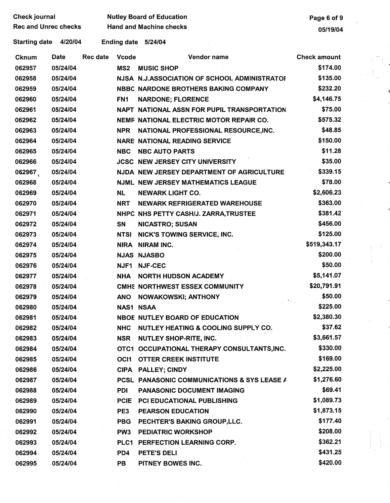| Check journal |                             |                 | <b>Nutley Board of Education</b> | Page 6 of 9                                  |                     |
|---------------|-----------------------------|-----------------|----------------------------------|----------------------------------------------|---------------------|
|               | <b>Rec and Unrec checks</b> |                 |                                  | <b>Hand and Machine checks</b>               | 05/19/04            |
| Starting date | 4/20/04                     |                 |                                  | Ending date 5/24/04                          |                     |
| Cknum         | Date                        | <b>Rec date</b> | <b>Vcode</b>                     | Vendor name                                  | <b>Check amount</b> |
| 062957        | 05/24/04                    |                 | MS <sub>2</sub>                  | <b>MUSIC SHOP</b>                            | \$174.00            |
| 062958        | 05/24/04                    |                 |                                  | NJSA N.J.ASSOCIATION OF SCHOOL ADMINISTRATOI | \$135.00            |
| 062959        | 05/24/04                    |                 |                                  | NBBC NARDONE BROTHERS BAKING COMPANY         | \$232.20            |
| 062960        | 05/24/04                    |                 | FN1                              | <b>NARDONE; FLORENCE</b>                     | \$4,146.75          |
| 062961        | 05/24/04                    |                 |                                  | NAPT NATIONAL ASSN FOR PUPIL TRANSPORTATION  | \$75.00             |
| 062962        | 05/24/04                    |                 |                                  | NEMF NATIONAL ELECTRIC MOTOR REPAIR CO.      | \$575.32            |
| 062963        | 05/24/04                    |                 | <b>NPR</b>                       | NATIONAL PROFESSIONAL RESOURCE, INC.         | \$48.85             |
| 062964        | 05/24/04                    |                 |                                  | <b>NARE NATIONAL READING SERVICE</b>         | \$150.00            |
| 062965        | 05/24/04                    |                 | <b>NBC</b>                       | <b>NBC AUTO PARTS</b>                        | \$11.28             |
| 062966        | 05/24/04                    |                 |                                  | <b>JCSC NEW JERSEY CITY UNIVERSITY</b>       | \$35.00             |
| 062967        | 05/24/04                    |                 |                                  | NJDA NEW JERSEY DEPARTMENT OF AGRICULTURE    | \$339.15            |
| 062968        | 05/24/04                    |                 |                                  | <b>NJML NEW JERSEY MATHEMATICS LEAGUE</b>    | \$78.00             |
| 062969        | 05/24/04                    |                 | NL.                              | <b>NEWARK LIGHT CO.</b>                      | \$2,606.23          |
| 062970        | 05/24/04                    |                 | NRT                              | <b>NEWARK REFRIGERATED WAREHOUSE</b>         | \$363.00            |
| 062971        | 05/24/04                    |                 |                                  | NHPC NHS PETTY CASH/J. ZARRA, TRUSTEE        | \$381.42            |
| 062972        | 05/24/04                    |                 | SN                               | <b>NICASTRO; SUSAN</b>                       | \$456.00            |
| 062973        | 05/24/04                    |                 | <b>NTSI</b>                      | <b>NICK'S TOWING SERVICE, INC.</b>           | \$125.00            |
| 062974        | 05/24/04                    |                 |                                  | NIRA NIRAM INC.                              | \$519,343.17        |
| 062975        | 05/24/04                    |                 |                                  | <b>NJAS NJASBO</b>                           | \$200.00            |
| 062976        | 05/24/04                    |                 | NJF1                             | <b>NJF-CEC</b>                               | \$50.00             |
| 062977        | 05/24/04                    |                 | <b>NHA</b>                       | <b>NORTH HUDSON ACADEMY</b>                  | \$5,141.07          |
| 062978        | 05/24/04                    |                 |                                  | CMHS NORTHWEST ESSEX COMMUNITY               | \$20,791.91         |
| 062979        | 05/24/04                    |                 | <b>ANO</b>                       | NOWAKOWSKI; ANTHONY                          | \$50.00             |
| 062980        | 05/24/04                    |                 |                                  | <b>NAS1 NSAA</b>                             | \$225.00            |
| 062981        | 05/24/04                    |                 |                                  | <b>NBOE NUTLEY BOARD OF EDUCATION</b>        | \$2,380.30          |
| 062982        | 05/24/04                    |                 | <b>NHC</b>                       | NUTLEY HEATING & COOLING SUPPLY CO.          | \$37.62             |
| 062983        | 05/24/04                    |                 | <b>NSR</b>                       | <b>NUTLEY SHOP-RITE, INC.</b>                | \$3,661.57          |
| 062984        | 05/24/04                    |                 |                                  | OTC1 OCCUPATIONAL THERAPY CONSULTANTS, INC.  | \$330.00            |
| 062985        | 05/24/04                    |                 | OC <sub>11</sub>                 | <b>OTTER CREEK INSTITUTE</b>                 | \$169.00            |
| 062986        | 05/24/04                    |                 |                                  | CIPA PALLEY; CINDY                           | \$2,225.00          |
| 062987        | 05/24/04                    |                 |                                  | PCSL PANASONIC COMMUNICATIONS & SYS LEASE A  | \$1,276.60          |
| 062988        | 05/24/04                    |                 | PDI                              | PANASONIC DOCUMENT IMAGING                   | \$69.41             |
| 062989        | 05/24/04                    |                 | <b>PCIE</b>                      | PCI EDUCATIONAL PUBLISHING                   | \$1,089.73          |
| 062990        | 05/24/04                    |                 | PE3                              | <b>PEARSON EDUCATION</b>                     | \$1,873.15          |
| 062991        | 05/24/04                    |                 | <b>PBG</b>                       | PECHTER'S BAKING GROUP, LLC.                 | \$177.40            |
| 062992        | 05/24/04                    |                 | PW <sub>3</sub>                  | <b>PEDIATRIC WORKSHOP</b>                    | \$208.00            |
| 062993        | 05/24/04                    |                 |                                  | PLC1 PERFECTION LEARNING CORP.               | \$362.21            |
| 062994        | 05/24/04                    |                 | PD4                              | PETE'S DELI                                  | \$431.25            |
| 062995        | 05/24/04                    |                 | PB                               | PITNEY BOWES INC.                            | \$420.00            |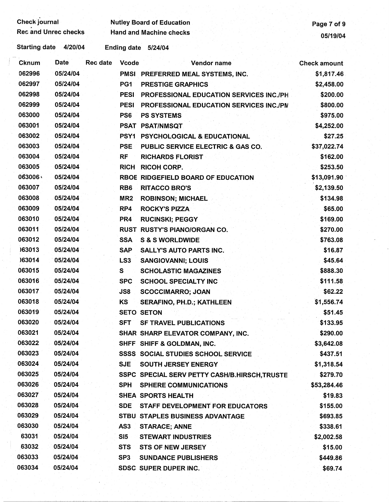| Check journal        |                             |          |                 | <b>Nutley Board of Education</b>              | Page 7 of 9         |
|----------------------|-----------------------------|----------|-----------------|-----------------------------------------------|---------------------|
|                      | <b>Rec and Unrec checks</b> |          |                 | <b>Hand and Machine checks</b>                | 05/19/04            |
| <b>Starting date</b> | 4/20/04                     |          |                 | Ending date 5/24/04                           |                     |
| <b>Cknum</b>         | <b>Date</b>                 | Rec date | <b>Vcode</b>    | Vendor name                                   | <b>Check amount</b> |
| 062996               | 05/24/04                    |          |                 | PMSI PREFERRED MEAL SYSTEMS, INC.             | \$1,817.46          |
| 062997               | 05/24/04                    |          | PG1             | <b>PRESTIGE GRAPHICS</b>                      | \$2,458.00          |
| 062998               | 05/24/04                    |          | <b>PESI</b>     | PROFESSIONAL EDUCATION SERVICES INC./PH       | \$200.00            |
| 062999               | 05/24/04                    |          | <b>PESI</b>     | PROFESSIONAL EDUCATION SERVICES INC./PN       | \$800.00            |
| 063000               | 05/24/04                    |          | PS6             | <b>PS SYSTEMS</b>                             | \$975.00            |
| 063001               | 05/24/04                    |          |                 | <b>PSAT PSAT/NMSQT</b>                        | \$4,252.00          |
| 063002               | 05/24/04                    |          | PSY1            | <b>PSYCHOLOGICAL &amp; EDUCATIONAL</b>        | \$27.25             |
| 063003               | 05/24/04                    |          | <b>PSE</b>      | PUBLIC SERVICE ELECTRIC & GAS CO.             | \$37,022.74         |
| 063004               | 05/24/04                    |          | <b>RF</b>       | <b>RICHARDS FLORIST</b>                       | \$162.00            |
| 063005               | 05/24/04                    |          | <b>RICH</b>     | <b>RICOH CORP.</b>                            | \$253.50            |
| 063006               | 05/24/04                    |          |                 | RBOE RIDGEFIELD BOARD OF EDUCATION            | \$13,091.90         |
| 063007               | 05/24/04                    |          | RB <sub>6</sub> | <b>RITACCO BRO'S</b>                          | \$2,139.50          |
| 063008               | 05/24/04                    |          | MR <sub>2</sub> | <b>ROBINSON; MICHAEL</b>                      | \$134.98            |
| 063009               | 05/24/04                    |          | RP4             | <b>ROCKY'S PIZZA</b>                          | \$65.00             |
| 063010               | 05/24/04                    |          | PR <sub>4</sub> | <b>RUCINSKI; PEGGY</b>                        | \$169.00            |
| 063011               | 05/24/04                    |          |                 | RUST RUSTY'S PIANO/ORGAN CO.                  | \$270.00            |
| 063012               | 05/24/04                    |          | <b>SSA</b>      | <b>S &amp; S WORLDWIDE</b>                    | \$763.08            |
| 163013               | 05/24/04                    |          | <b>SAP</b>      | <b>SALLY'S AUTO PARTS INC.</b>                | \$16.87             |
| )63014               | 05/24/04                    |          | LS <sub>3</sub> | <b>SANGIOVANNI; LOUIS</b>                     | \$45.64             |
| 063015               | 05/24/04                    |          | S               | <b>SCHOLASTIC MAGAZINES</b>                   | \$888.30            |
| 063016               | 05/24/04                    |          | <b>SPC</b>      | <b>SCHOOL SPECIALTY INC</b>                   | \$111.58            |
| 063017               | 05/24/04                    |          | JS8             | <b>SCOCCIMARRO; JOAN</b>                      | \$62.22             |
| 063018               | 05/24/04                    |          | KS              | <b>SERAFINO, PH.D.; KATHLEEN</b>              | \$1,556.74          |
| 063019               | 05/24/04                    |          |                 | <b>SETO SETON</b>                             | \$51.45             |
| 063020               | 05/24/04                    |          | <b>SFT</b>      | <b>SF TRAVEL PUBLICATIONS</b>                 | \$133.95            |
| 063021               | 05/24/04                    |          |                 | SHAR SHARP ELEVATOR COMPANY, INC.             | \$290.00            |
| 063022               | 05/24/04                    |          |                 | SHFF SHIFF & GOLDMAN, INC.                    | \$3,642.08          |
| 063023               | 05/24/04                    |          |                 | <b>SSSS SOCIAL STUDIES SCHOOL SERVICE</b>     | \$437.51            |
| 063024               | 05/24/04                    |          | <b>SJE</b>      | <b>SOUTH JERSEY ENERGY</b>                    | \$1,318.54          |
| 063025               | 05/24/04                    |          |                 | SSPC SPECIAL SERV PETTY CASH/B.HIRSCH, TRUSTE | \$279.70            |
| 063026               | 05/24/04                    |          | <b>SPH</b>      | <b>SPHERE COMMUNICATIONS</b>                  | \$53,284.46         |
| 063027               | 05/24/04                    |          |                 | SHEA SPORTS HEALTH                            | \$19.83             |
| 063028               | 05/24/04                    |          | <b>SDE</b>      | STAFF DEVELOPMENT FOR EDUCATORS               | \$155.00            |
| 063029               | 05/24/04                    |          |                 | STBU STAPLES BUSINESS ADVANTAGE               | \$693.85            |
| 063030               | 05/24/04                    |          | AS3             | <b>STARACE; ANNE</b>                          | \$338.61            |
| 63031                | 05/24/04                    |          | SI5             | <b>STEWART INDUSTRIES</b>                     | \$2,002.58          |
| 63032                | 05/24/04                    |          | <b>STS</b>      | <b>STS OF NEW JERSEY</b>                      | \$15.00             |
| 063033               | 05/24/04                    |          | SP <sub>3</sub> | <b>SUNDANCE PUBLISHERS</b>                    | \$449.86            |
| 063034               | 05/24/04                    |          |                 | <b>SDSC SUPER DUPER INC.</b>                  | \$69.74             |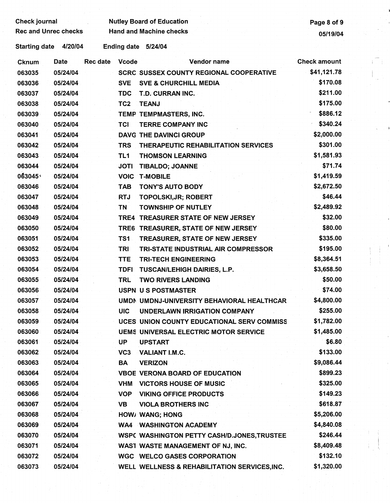Check journal Nutley Board of Education **Check is a contract of 9** and 2011 1997 and 2012

Rec and Unrec checks Hand and Machine checks **Hand and Machine checks 19904** 

Starting date 4/20/04 Ending date 5/24/04

| Cknum  | Date     | <b>Rec date</b> | <b>Vcode</b>    | Vendor name                                    | <b>Check amount</b> |
|--------|----------|-----------------|-----------------|------------------------------------------------|---------------------|
| 063035 | 05/24/04 |                 |                 | <b>SCRC SUSSEX COUNTY REGIONAL COOPERATIVE</b> | \$41,121.78         |
| 063036 | 05/24/04 |                 | <b>SVE</b>      | <b>SVE &amp; CHURCHILL MEDIA</b>               | \$170.08            |
| 063037 | 05/24/04 |                 | <b>TDC</b>      | T.D. CURRAN INC.                               | \$211.00            |
| 063038 | 05/24/04 |                 | TC <sub>2</sub> | <b>TEANJ</b>                                   | \$175.00            |
| 063039 | 05/24/04 |                 |                 | TEMP TEMPMASTERS, INC.                         | \$886.12            |
| 063040 | 05/24/04 |                 | <b>TCI</b>      | <b>TERRE COMPANY INC</b>                       | \$340.24            |
| 063041 | 05/24/04 |                 |                 | <b>DAVG THE DAVINCI GROUP</b>                  | \$2,000.00          |
| 063042 | 05/24/04 |                 | <b>TRS</b>      | THERAPEUTIC REHABILITATION SERVICES            | \$301.00            |
| 063043 | 05/24/04 |                 | TL <sub>1</sub> | <b>THOMSON LEARNING</b>                        | \$1,581.93          |
| 063044 | 05/24/04 |                 | <b>JOTI</b>     | <b>TIBALDO; JOANNE</b>                         | \$71.74             |
| 063045 | 05/24/04 |                 | <b>VOIC</b>     | <b>T-MOBILE</b>                                | \$1,419.59          |
| 063046 | 05/24/04 |                 | <b>TAB</b>      | <b>TONY'S AUTO BODY</b>                        | \$2,672.50          |
| 063047 | 05/24/04 |                 | <b>RTJ</b>      | TOPOLSKI, JR; ROBERT                           | \$46.44             |
| 063048 | 05/24/04 |                 | TN              | <b>TOWNSHIP OF NUTLEY</b>                      | \$2,489.92          |
| 063049 | 05/24/04 |                 | TRE4            | <b>TREASURER STATE OF NEW JERSEY</b>           | \$32.00             |
| 063050 | 05/24/04 |                 |                 | TRE6 TREASURER, STATE OF NEW JERSEY            | \$80.00             |
| 063051 | 05/24/04 |                 | TS1             | TREASURER, STATE OF NEW JERSEY                 | \$335.00            |
| 063052 | 05/24/04 |                 | <b>TRI</b>      | TRI-STATE INDUSTRIAL AIR COMPRESSOR            | \$195.00            |
| 063053 | 05/24/04 |                 | <b>TTE</b>      | <b>TRI-TECH ENGINEERING</b>                    | \$8,364.51          |
| 063054 | 05/24/04 |                 | <b>TDFI</b>     | TUSCAN/LEHIGH DAIRIES, L.P.                    | \$3,658.50          |
| 063055 | 05/24/04 |                 | <b>TRL</b>      | <b>TWO RIVERS LANDING</b>                      | \$50.00             |
| 063056 | 05/24/04 |                 |                 | USPN US POSTMASTER                             | \$74.00             |
| 063057 | 05/24/04 |                 |                 | UMDN UMDNJ-UNIVERSITY BEHAVIORAL HEALTHCAR     | \$4,800.00          |
| 063058 | 05/24/04 |                 | <b>UIC</b>      | UNDERLAWN IRRIGATION COMPANY                   | \$255.00            |
| 063059 | 05/24/04 |                 |                 | UCES UNION COUNTY EDUCATIONAL SERV COMMISS     | \$1,782.00          |
| 063060 | 05/24/04 |                 |                 | <b>UEMS UNIVERSAL ELECTRIC MOTOR SERVICE</b>   | \$1,485.00          |
| 063061 | 05/24/04 |                 | UP              | <b>UPSTART</b>                                 | \$6.80              |
| 063062 | 05/24/04 |                 | VC <sub>3</sub> | <b>VALIANT I.M.C.</b>                          | \$133.00            |
| 063063 | 05/24/04 |                 | BA              | <b>VERIZON</b>                                 | \$9,086.44          |
| 063064 | 05/24/04 |                 |                 | <b>VBOE VERONA BOARD OF EDUCATION</b>          | \$899.23            |
| 063065 | 05/24/04 |                 | <b>VHM</b>      | <b>VICTORS HOUSE OF MUSIC</b>                  | \$325.00            |
| 063066 | 05/24/04 |                 | <b>VOP</b>      | <b>VIKING OFFICE PRODUCTS</b>                  | \$149.23            |
| 063067 | 05/24/04 |                 | <b>VB</b>       | <b>VIOLA BROTHERS INC</b>                      | \$618.87            |
| 063068 | 05/24/04 |                 |                 | <b>HOW/ WANG; HONG</b>                         | \$5,206.00          |
| 063069 | 05/24/04 |                 |                 | <b>WA4 WASHINGTON ACADEMY</b>                  | \$4,840.08          |
| 063070 | 05/24/04 |                 |                 | WSPC WASHINGTON PETTY CASH/D.JONES, TRUSTEE    | \$246.44            |
| 063071 | 05/24/04 |                 |                 | WAST WASTE MANAGEMENT OF NJ, INC.              | \$8,409.48          |
| 063072 | 05/24/04 |                 |                 | <b>WGC WELCO GASES CORPORATION</b>             | \$132.10            |
| 063073 | 05/24/04 |                 |                 | WELL WELLNESS & REHABILITATION SERVICES, INC.  | \$1,320.00          |